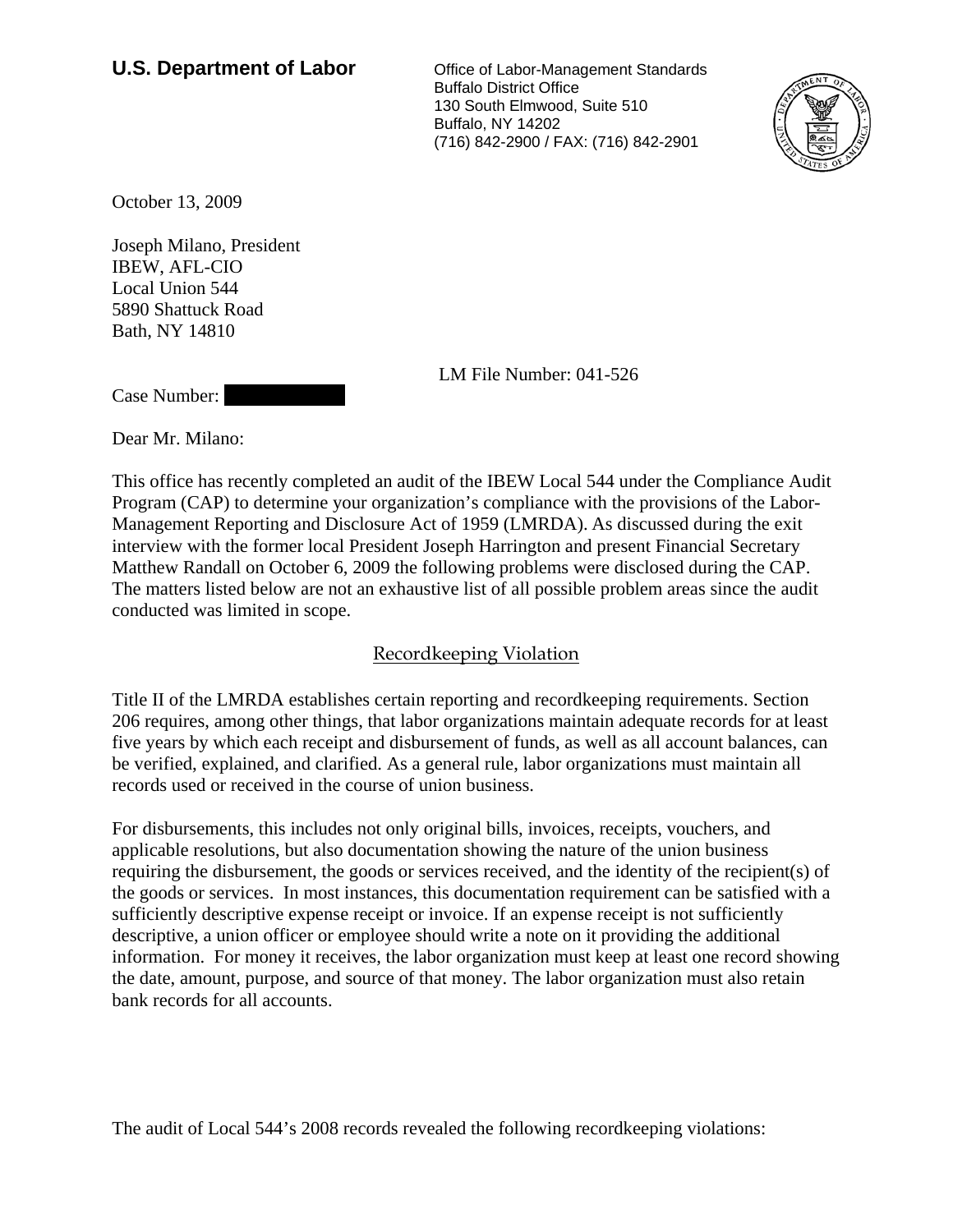## **U.S. Department of Labor** Office of Labor-Management Standards

 Buffalo District Office 130 South Elmwood, Suite 510 Buffalo, NY 14202 (716) 842-2900 / FAX: (716) 842-2901



October 13, 2009

Joseph Milano, President IBEW, AFL-CIO Local Union 544 5890 Shattuck Road Bath, NY 14810

LM File Number: 041-526

Case Number:

Dear Mr. Milano:

This office has recently completed an audit of the IBEW Local 544 under the Compliance Audit Program (CAP) to determine your organization's compliance with the provisions of the Labor-Management Reporting and Disclosure Act of 1959 (LMRDA). As discussed during the exit interview with the former local President Joseph Harrington and present Financial Secretary Matthew Randall on October 6, 2009 the following problems were disclosed during the CAP. The matters listed below are not an exhaustive list of all possible problem areas since the audit conducted was limited in scope.

## Recordkeeping Violation

Title II of the LMRDA establishes certain reporting and recordkeeping requirements. Section 206 requires, among other things, that labor organizations maintain adequate records for at least five years by which each receipt and disbursement of funds, as well as all account balances, can be verified, explained, and clarified. As a general rule, labor organizations must maintain all records used or received in the course of union business.

For disbursements, this includes not only original bills, invoices, receipts, vouchers, and applicable resolutions, but also documentation showing the nature of the union business requiring the disbursement, the goods or services received, and the identity of the recipient(s) of the goods or services. In most instances, this documentation requirement can be satisfied with a sufficiently descriptive expense receipt or invoice. If an expense receipt is not sufficiently descriptive, a union officer or employee should write a note on it providing the additional information. For money it receives, the labor organization must keep at least one record showing the date, amount, purpose, and source of that money. The labor organization must also retain bank records for all accounts.

The audit of Local 544's 2008 records revealed the following recordkeeping violations: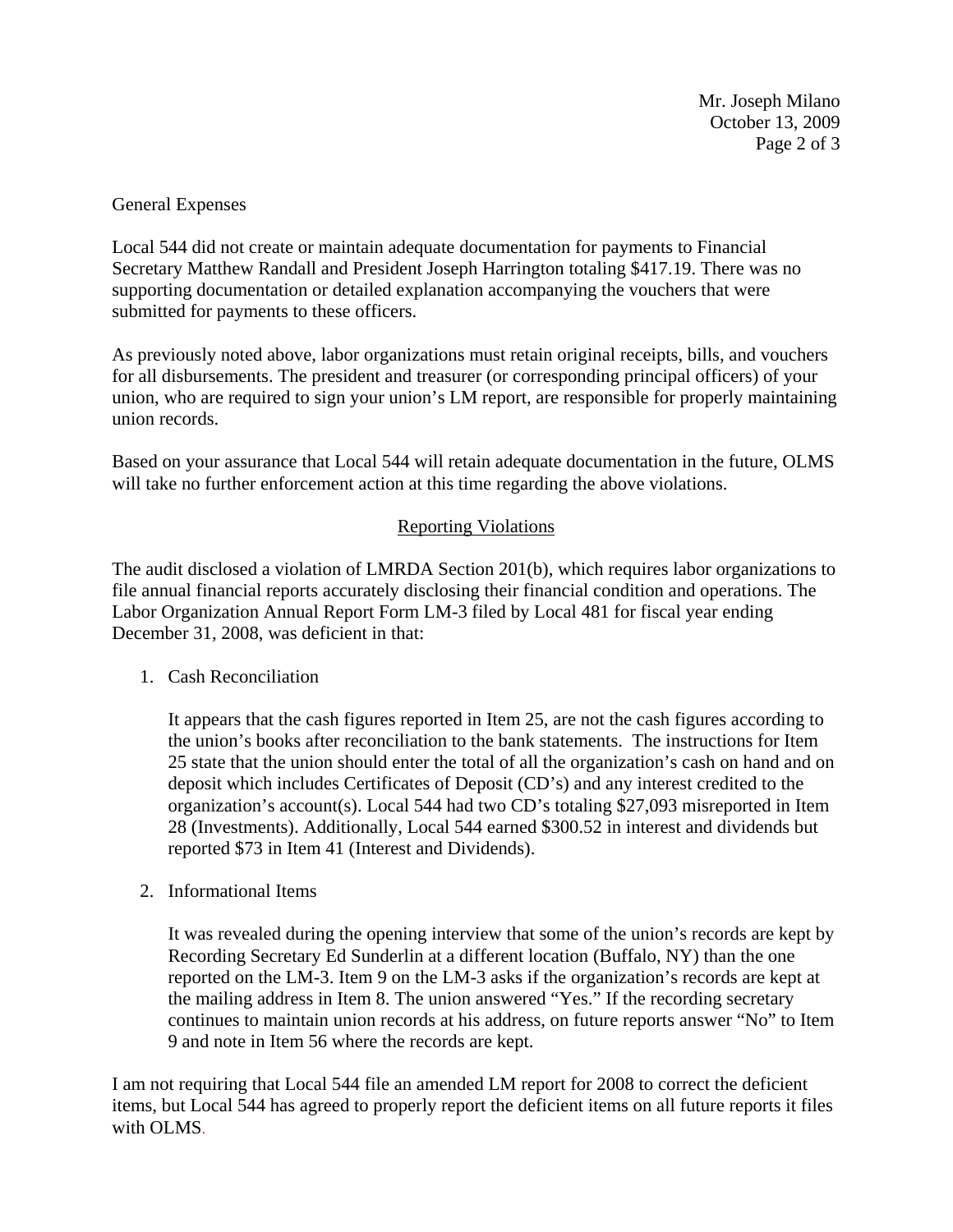Mr. Joseph Milano October 13, 2009 Page 2 of 3

## General Expenses

Local 544 did not create or maintain adequate documentation for payments to Financial Secretary Matthew Randall and President Joseph Harrington totaling \$417.19. There was no supporting documentation or detailed explanation accompanying the vouchers that were submitted for payments to these officers.

As previously noted above, labor organizations must retain original receipts, bills, and vouchers for all disbursements. The president and treasurer (or corresponding principal officers) of your union, who are required to sign your union's LM report, are responsible for properly maintaining union records.

Based on your assurance that Local 544 will retain adequate documentation in the future, OLMS will take no further enforcement action at this time regarding the above violations.

## Reporting Violations

The audit disclosed a violation of LMRDA Section 201(b), which requires labor organizations to file annual financial reports accurately disclosing their financial condition and operations. The Labor Organization Annual Report Form LM-3 filed by Local 481 for fiscal year ending December 31, 2008, was deficient in that:

1. Cash Reconciliation

It appears that the cash figures reported in Item 25, are not the cash figures according to the union's books after reconciliation to the bank statements. The instructions for Item 25 state that the union should enter the total of all the organization's cash on hand and on deposit which includes Certificates of Deposit (CD's) and any interest credited to the organization's account(s). Local 544 had two CD's totaling \$27,093 misreported in Item 28 (Investments). Additionally, Local 544 earned \$300.52 in interest and dividends but reported \$73 in Item 41 (Interest and Dividends).

2. Informational Items

It was revealed during the opening interview that some of the union's records are kept by Recording Secretary Ed Sunderlin at a different location (Buffalo, NY) than the one reported on the LM-3. Item 9 on the LM-3 asks if the organization's records are kept at the mailing address in Item 8. The union answered "Yes." If the recording secretary continues to maintain union records at his address, on future reports answer "No" to Item 9 and note in Item 56 where the records are kept.

I am not requiring that Local 544 file an amended LM report for 2008 to correct the deficient items, but Local 544 has agreed to properly report the deficient items on all future reports it files with OLMS.